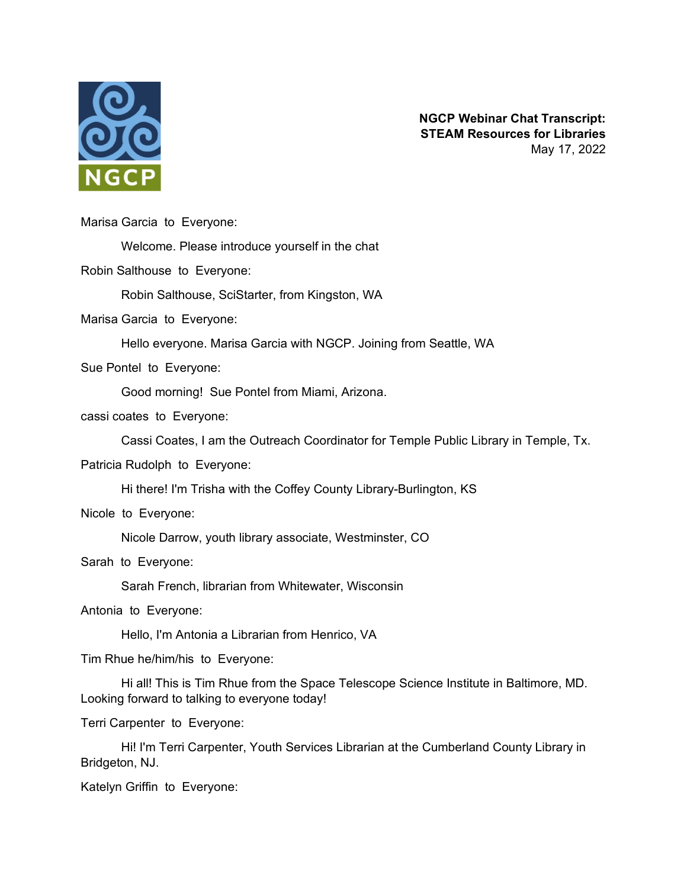

**NGCP Webinar Chat Transcript: STEAM Resources for Libraries** May 17, 2022

Marisa Garcia to Everyone:

Welcome. Please introduce yourself in the chat

Robin Salthouse to Everyone:

Robin Salthouse, SciStarter, from Kingston, WA

Marisa Garcia to Everyone:

Hello everyone. Marisa Garcia with NGCP. Joining from Seattle, WA

Sue Pontel to Everyone:

Good morning! Sue Pontel from Miami, Arizona.

cassi coates to Everyone:

Cassi Coates, I am the Outreach Coordinator for Temple Public Library in Temple, Tx.

Patricia Rudolph to Everyone:

Hi there! I'm Trisha with the Coffey County Library-Burlington, KS

Nicole to Everyone:

Nicole Darrow, youth library associate, Westminster, CO

Sarah to Everyone:

Sarah French, librarian from Whitewater, Wisconsin

Antonia to Everyone:

Hello, I'm Antonia a Librarian from Henrico, VA

Tim Rhue he/him/his to Everyone:

Hi all! This is Tim Rhue from the Space Telescope Science Institute in Baltimore, MD. Looking forward to talking to everyone today!

Terri Carpenter to Everyone:

Hi! I'm Terri Carpenter, Youth Services Librarian at the Cumberland County Library in Bridgeton, NJ.

Katelyn Griffin to Everyone: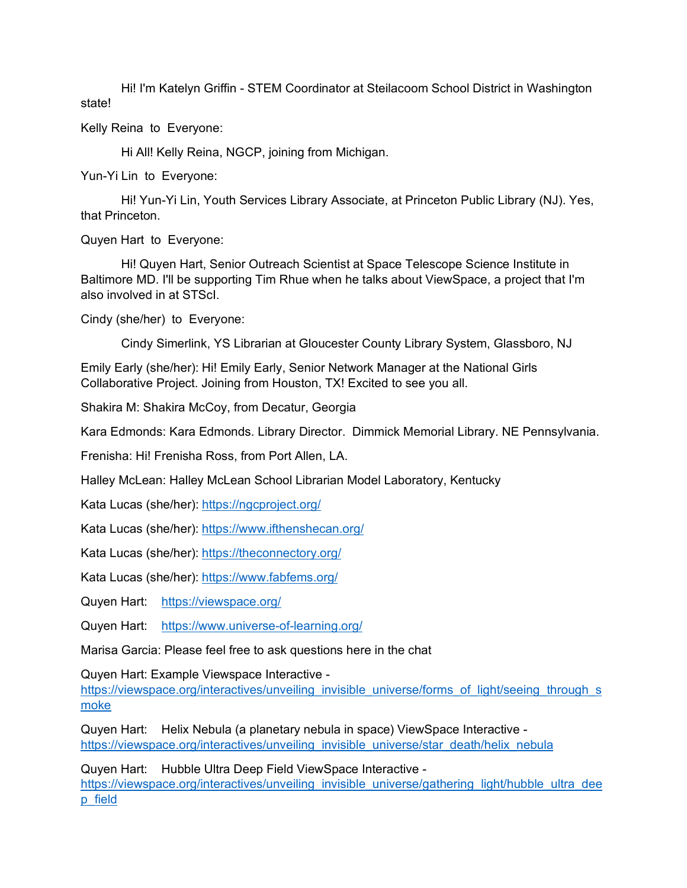Hi! I'm Katelyn Griffin - STEM Coordinator at Steilacoom School District in Washington state!

Kelly Reina to Everyone:

Hi All! Kelly Reina, NGCP, joining from Michigan.

Yun-Yi Lin to Everyone:

Hi! Yun-Yi Lin, Youth Services Library Associate, at Princeton Public Library (NJ). Yes, that Princeton.

Quyen Hart to Everyone:

Hi! Quyen Hart, Senior Outreach Scientist at Space Telescope Science Institute in Baltimore MD. I'll be supporting Tim Rhue when he talks about ViewSpace, a project that I'm also involved in at STScI.

Cindy (she/her) to Everyone:

Cindy Simerlink, YS Librarian at Gloucester County Library System, Glassboro, NJ

Emily Early (she/her): Hi! Emily Early, Senior Network Manager at the National Girls Collaborative Project. Joining from Houston, TX! Excited to see you all.

Shakira M: Shakira McCoy, from Decatur, Georgia

Kara Edmonds: Kara Edmonds. Library Director. Dimmick Memorial Library. NE Pennsylvania.

Frenisha: Hi! Frenisha Ross, from Port Allen, LA.

Halley McLean: Halley McLean School Librarian Model Laboratory, Kentucky

Kata Lucas (she/her): <https://ngcproject.org/>

Kata Lucas (she/her): <https://www.ifthenshecan.org/>

Kata Lucas (she/her): <https://theconnectory.org/>

Kata Lucas (she/her): https://www.fabfems.org/

Quyen Hart: <https://viewspace.org/>

Quyen Hart: <https://www.universe-of-learning.org/>

Marisa Garcia: Please feel free to ask questions here in the chat

Quyen Hart: Example Viewspace Interactive -

[https://viewspace.org/interactives/unveiling\\_invisible\\_universe/forms\\_of\\_light/seeing\\_through\\_s](https://viewspace.org/interactives/unveiling_invisible_universe/forms_of_light/seeing_through_smoke) [moke](https://viewspace.org/interactives/unveiling_invisible_universe/forms_of_light/seeing_through_smoke) 

Quyen Hart: Helix Nebula (a planetary nebula in space) ViewSpace Interactive https://viewspace.org/interactives/unveiling\_invisible\_universe/star\_death/helix\_nebula

Quyen Hart: Hubble Ultra Deep Field ViewSpace Interactive -

[https://viewspace.org/interactives/unveiling\\_invisible\\_universe/gathering\\_light/hubble\\_ultra\\_dee](https://viewspace.org/interactives/unveiling_invisible_universe/gathering_light/hubble_ultra_deep_field) [p\\_field](https://viewspace.org/interactives/unveiling_invisible_universe/gathering_light/hubble_ultra_deep_field)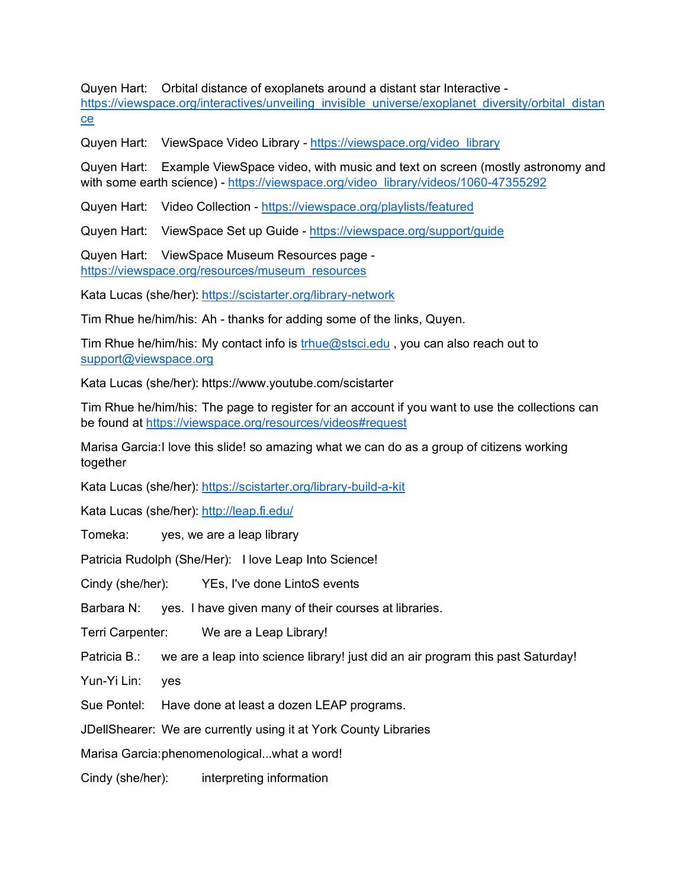Quyen Hart: Orbital distance of exoplanets around a distant star Interactive [https://viewspace.org/interactives/unveiling\\_invisible\\_universe/exoplanet\\_diversity/orbital\\_distan](https://viewspace.org/interactives/unveiling_invisible_universe/exoplanet_diversity/orbital_distance) [ce](https://viewspace.org/interactives/unveiling_invisible_universe/exoplanet_diversity/orbital_distance) 

Quyen Hart: ViewSpace Video Library - [https://viewspace.org/video\\_library](https://viewspace.org/video_library) 

Quyen Hart: Example ViewSpace video, with music and text on screen (mostly astronomy and with some earth science) - https://viewspace.org/video\_library/videos/1060-47355292

Quyen Hart: Video Collection -<https://viewspace.org/playlists/featured>

Quyen Hart: ViewSpace Set up Guide -<https://viewspace.org/support/guide>

Quyen Hart: ViewSpace Museum Resources page [https://viewspace.org/resources/museum\\_resources](https://viewspace.org/resources/museum_resources) 

Kata Lucas (she/her): <https://scistarter.org/library-network>

Tim Rhue he/him/his: Ah - thanks for adding some of the links, Quyen.

Tim Rhue he/him/his: My contact info is [trhue@stsci.edu](mailto:trhue@stsci.edu) , you can also reach out to [support@viewspace.org](mailto:support@viewspace.org) 

Kata Lucas (she/her): https://www.youtube.com/scistarter

Tim Rhue he/him/his: The page to register for an account if you want to use the collections can be found at<https://viewspace.org/resources/videos#request>

Marisa Garcia:I love this slide! so amazing what we can do as a group of citizens working together

Kata Lucas (she/her): https://scistarter.org/library-build-a-kit

Kata Lucas (she/her): http://leap.fi.edu/

Tomeka: yes, we are a leap library

Patricia Rudolph (She/Her): I love Leap Into Science!

Cindy (she/her): YEs, I've done LintoS events

Barbara N: yes. I have given many of their courses at libraries.

Terri Carpenter: We are a Leap Library!

Patricia B.: we are a leap into science library! just did an air program this past Saturday!

Yun-Yi Lin: yes

Sue Pontel: Have done at least a dozen LEAP programs.

JDellShearer: We are currently using it at York County Libraries

Marisa Garcia:phenomenological...what a word!

Cindy (she/her): interpreting information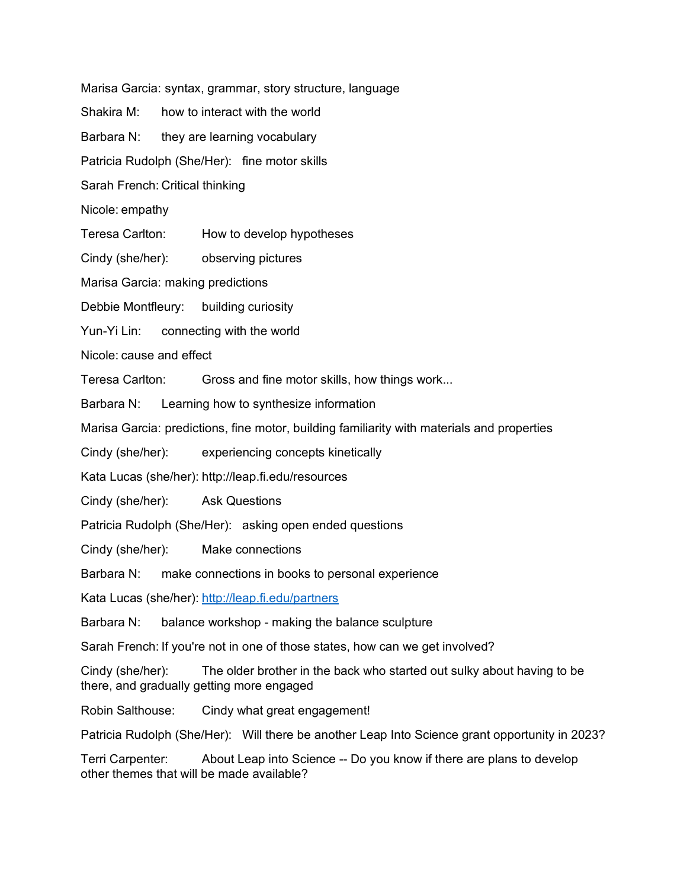Marisa Garcia: syntax, grammar, story structure, language

- Shakira M: how to interact with the world
- Barbara N: they are learning vocabulary

Patricia Rudolph (She/Her): fine motor skills

Sarah French: Critical thinking

- Nicole: empathy
- Teresa Carlton: How to develop hypotheses
- Cindy (she/her): observing pictures
- Marisa Garcia: making predictions
- Debbie Montfleury: building curiosity
- Yun-Yi Lin: connecting with the world

Nicole: cause and effect

Teresa Carlton: Gross and fine motor skills, how things work...

Barbara N: Learning how to synthesize information

- Marisa Garcia: predictions, fine motor, building familiarity with materials and properties
- Cindy (she/her): experiencing concepts kinetically
- Kata Lucas (she/her): http://leap.fi.edu/resources
- Cindy (she/her): Ask Questions
- Patricia Rudolph (She/Her): asking open ended questions
- Cindy (she/her): Make connections
- Barbara N: make connections in books to personal experience

Kata Lucas (she/her): <http://leap.fi.edu/partners>

Barbara N: balance workshop - making the balance sculpture

Sarah French: If you're not in one of those states, how can we get involved?

Cindy (she/her): The older brother in the back who started out sulky about having to be there, and gradually getting more engaged

Robin Salthouse: Cindy what great engagement!

Patricia Rudolph (She/Her): Will there be another Leap Into Science grant opportunity in 2023?

Terri Carpenter: About Leap into Science -- Do you know if there are plans to develop other themes that will be made available?